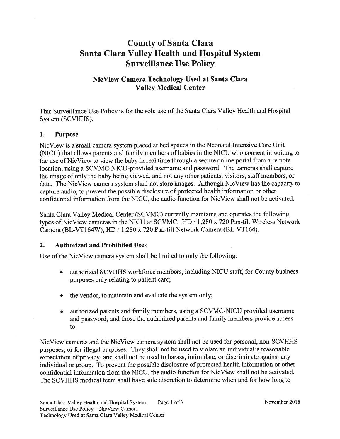# County of Santa Clara Santa Clara Valley Health and Hospital System Surveillance Use Policy

# NicView Camera Technology Used at Santa Clara Valley Medical Center

This Surveillance Use Policy is for the sole use of the Santa Clara Valley Health and Hospital System (SCVHHS).

#### 1. Purpose

NicView is a small camera system placed at bed spaces in the Neonatal Intensive Care Unit (NICU) that allows parents and family members of babies in the NICU who consent in writing to the use of NicView to view the baby in real time through a secure online portal from a remote location, using a SCVMC-NICU-provided username and password. The cameras shall capture the image of only the baby being viewed, and not any other patients, visitors, staff members, or data. The NicView camera system shall not store images. Although NicView has the capacity to capture audio, to prevent the possible disclosure of protected health information or other confidential information from the NICU, the audio function for NicView shall not be activated.

Santa Clara Valley Medical Center (SCVMC) currently maintains and operates the following types of NicView cameras in the NICU at SCVMC: HD / 1,280 x 720 Pan-tilt Wireless Network Camera (BL-VT164W), HD / 1,280 x 720 Pan-tilt Network Camera (BL-VT164).

#### 2. Authorized and Prohibited Uses

Use of the NicView camera system shall be limited to only the following:

- authorized SCVHHS workforce members, including NICU staff, for County business purposes only relating to patient care; a
- the vendor, to maintain and evaluate the system only; a
- authorized parents and family members, using a SCVMC-NICU provided usemame and password, and those the authorized parents and family members provide access to. a

NicView cameras and the NicView camera system shall not be used for personal, non-SCVHHS putposes, or for illegal purposes. They shall not be used to violate an individual's reasonable expectation of privacy, and shall not be used to harass, intimidate, or discriminate against any individual or group. To prevent the possible disclosure of protected health information or other confidential information from the NICU, the audio function for NicView shall not be activated. The SCVHHS medical team shall have sole discretion to determine when and for how long to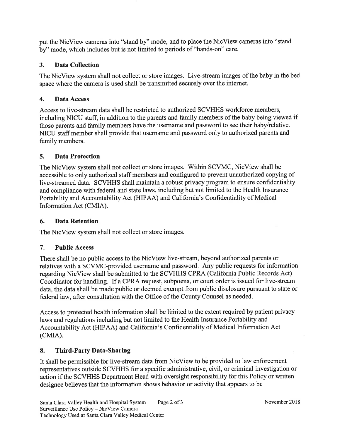put the NicView cameras into "stand by" mode, and to place the NicView cameras into "stand by''mode, which includes but is not limited to periods of "hands-on" care.

# 3. Data Collection

The NicView system shall not collect or store images. Live-stream images of the baby in the bed space where the camera is used shall be transmitted securely over the intemet.

### 4. Data Access

Access to live-stream data shall be restricted to authorized SCVHHS workforce members, including NICU staff, in addition to the parents and family members of the baby being viewed if those parents and family members have the username and password to see their baby/relative. NICU staff member shall provide that username and password only to authorized parents and family members.

# 5. Data Protection

The NicView system shall not collect or store images. Within SCVMC, NicView shall be accessible to only authorized staff members and configured to prevent unauthorized copying of live-streamed data. SCVHHS shall maintain a robust privacy program to ensure confidentiality and compliance with federal and state laws, including but not limited to the Health Insurance Portability and Accountability Act (HIPAA) and California's Confidentiality of Medical Information Act (CMIA).

### 6. Data Retention

The NicView system shall not collect or store images.

# 7. Public Access

There shall be no public access to the NicView live-stream, beyond authorized parents or relatives with a SCVMC-provided username and password. Any public requests for information regarding NicView shall be submitted to the SCVHHS CPRA (California Public Records Act) Coordinator for handling. If a CPRA request, subpoena, or court order is issued for live-stream data, the data shall be made public or deemed exempt from public disclosure pursuant to state or federal law, after consultation with the Office of the County Counsel as needed.

Access to protected health information shall be limited to the extent required by patient privacy laws and regulations including but not limited to the Health Insurance Portability and Accountability Act (HIPAA) and California's Confidentiality of Medical Information Act (CMIA).

# 8. Third-Party Data-Sharing

It shall be permissible for live-stream data from NicView to be provided to law enforcement representatives outside SCVHHS for a specific administrative, civil, or criminal investigation or action if the SCVHHS Department Head with oversight responsibility for this Policy or written designee believes that the information shows behavior or activity that appears to be